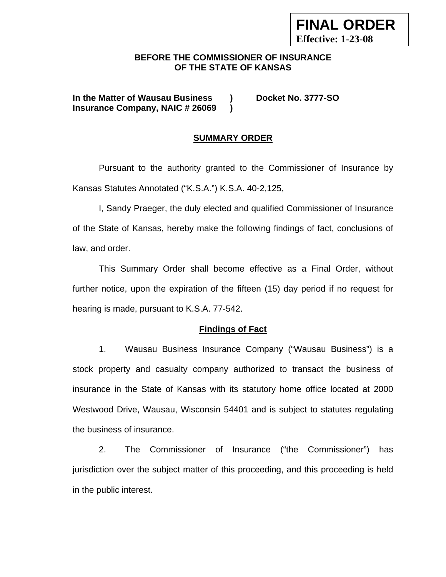### **BEFORE THE COMMISSIONER OF INSURANCE OF THE STATE OF KANSAS**

**In the Matter of Wausau Business ) Docket No. 3777-SO Insurance Company, NAIC # 26069 )**

**FINAL ORDER** 

**Effective: 1-23-08**

#### **SUMMARY ORDER**

 Pursuant to the authority granted to the Commissioner of Insurance by Kansas Statutes Annotated ("K.S.A.") K.S.A. 40-2,125,

 I, Sandy Praeger, the duly elected and qualified Commissioner of Insurance of the State of Kansas, hereby make the following findings of fact, conclusions of law, and order.

This Summary Order shall become effective as a Final Order, without further notice, upon the expiration of the fifteen (15) day period if no request for hearing is made, pursuant to K.S.A. 77-542.

#### **Findings of Fact**

1. Wausau Business Insurance Company ("Wausau Business") is a stock property and casualty company authorized to transact the business of insurance in the State of Kansas with its statutory home office located at 2000 Westwood Drive, Wausau, Wisconsin 54401 and is subject to statutes regulating the business of insurance.

2. The Commissioner of Insurance ("the Commissioner") has jurisdiction over the subject matter of this proceeding, and this proceeding is held in the public interest.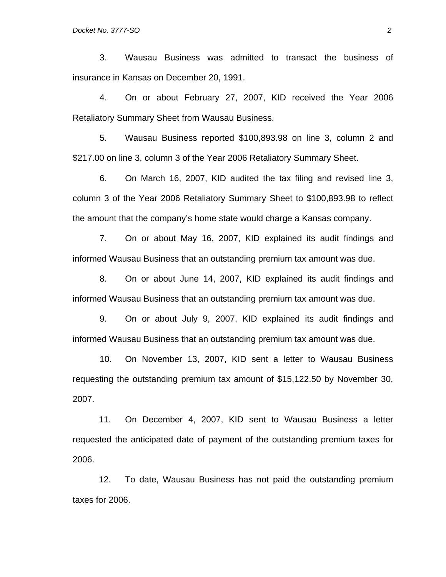3. Wausau Business was admitted to transact the business of insurance in Kansas on December 20, 1991.

4. On or about February 27, 2007, KID received the Year 2006 Retaliatory Summary Sheet from Wausau Business.

5. Wausau Business reported \$100,893.98 on line 3, column 2 and \$217.00 on line 3, column 3 of the Year 2006 Retaliatory Summary Sheet.

6. On March 16, 2007, KID audited the tax filing and revised line 3, column 3 of the Year 2006 Retaliatory Summary Sheet to \$100,893.98 to reflect the amount that the company's home state would charge a Kansas company.

7. On or about May 16, 2007, KID explained its audit findings and informed Wausau Business that an outstanding premium tax amount was due.

8. On or about June 14, 2007, KID explained its audit findings and informed Wausau Business that an outstanding premium tax amount was due.

9. On or about July 9, 2007, KID explained its audit findings and informed Wausau Business that an outstanding premium tax amount was due.

10. On November 13, 2007, KID sent a letter to Wausau Business requesting the outstanding premium tax amount of \$15,122.50 by November 30, 2007.

 11. On December 4, 2007, KID sent to Wausau Business a letter requested the anticipated date of payment of the outstanding premium taxes for 2006.

 12. To date, Wausau Business has not paid the outstanding premium taxes for 2006.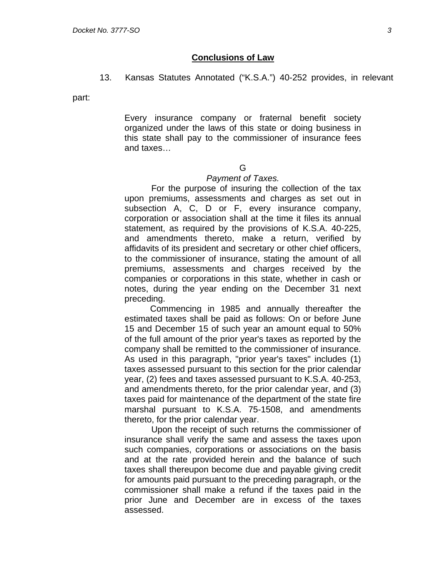#### **Conclusions of Law**

13. Kansas Statutes Annotated ("K.S.A.") 40-252 provides, in relevant

part:

Every insurance company or fraternal benefit society organized under the laws of this state or doing business in this state shall pay to the commissioner of insurance fees and taxes…

#### G

#### *Payment of Taxes.*

 For the purpose of insuring the collection of the tax upon premiums, assessments and charges as set out in subsection A, C, D or F, every insurance company, corporation or association shall at the time it files its annual statement, as required by the provisions of K.S.A. 40-225, and amendments thereto, make a return, verified by affidavits of its president and secretary or other chief officers, to the commissioner of insurance, stating the amount of all premiums, assessments and charges received by the companies or corporations in this state, whether in cash or notes, during the year ending on the December 31 next preceding.

 Commencing in 1985 and annually thereafter the estimated taxes shall be paid as follows: On or before June 15 and December 15 of such year an amount equal to 50% of the full amount of the prior year's taxes as reported by the company shall be remitted to the commissioner of insurance. As used in this paragraph, "prior year's taxes" includes (1) taxes assessed pursuant to this section for the prior calendar year, (2) fees and taxes assessed pursuant to K.S.A. 40-253, and amendments thereto, for the prior calendar year, and (3) taxes paid for maintenance of the department of the state fire marshal pursuant to K.S.A. 75-1508, and amendments thereto, for the prior calendar year.

 Upon the receipt of such returns the commissioner of insurance shall verify the same and assess the taxes upon such companies, corporations or associations on the basis and at the rate provided herein and the balance of such taxes shall thereupon become due and payable giving credit for amounts paid pursuant to the preceding paragraph, or the commissioner shall make a refund if the taxes paid in the prior June and December are in excess of the taxes assessed.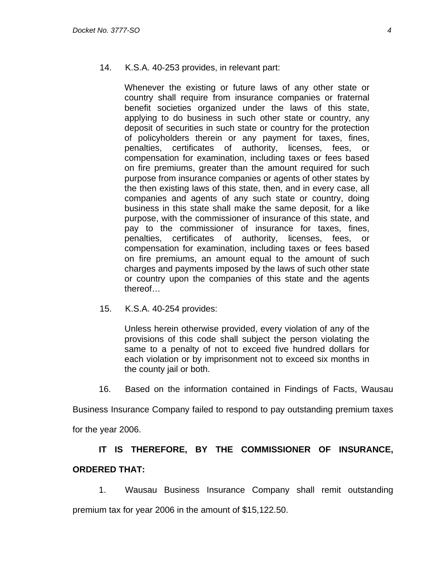#### 14. K.S.A. 40-253 provides, in relevant part:

Whenever the existing or future laws of any other state or country shall require from insurance companies or fraternal benefit societies organized under the laws of this state, applying to do business in such other state or country, any deposit of securities in such state or country for the protection of policyholders therein or any payment for taxes, fines, penalties, certificates of authority, licenses, fees, or compensation for examination, including taxes or fees based on fire premiums, greater than the amount required for such purpose from insurance companies or agents of other states by the then existing laws of this state, then, and in every case, all companies and agents of any such state or country, doing business in this state shall make the same deposit, for a like purpose, with the commissioner of insurance of this state, and pay to the commissioner of insurance for taxes, fines, penalties, certificates of authority, licenses, fees, or compensation for examination, including taxes or fees based on fire premiums, an amount equal to the amount of such charges and payments imposed by the laws of such other state or country upon the companies of this state and the agents thereof…

15. K.S.A. 40-254 provides:

Unless herein otherwise provided, every violation of any of the provisions of this code shall subject the person violating the same to a penalty of not to exceed five hundred dollars for each violation or by imprisonment not to exceed six months in the county jail or both.

16. Based on the information contained in Findings of Facts, Wausau

Business Insurance Company failed to respond to pay outstanding premium taxes

for the year 2006.

## **IT IS THEREFORE, BY THE COMMISSIONER OF INSURANCE, ORDERED THAT:**

1. Wausau Business Insurance Company shall remit outstanding premium tax for year 2006 in the amount of \$15,122.50.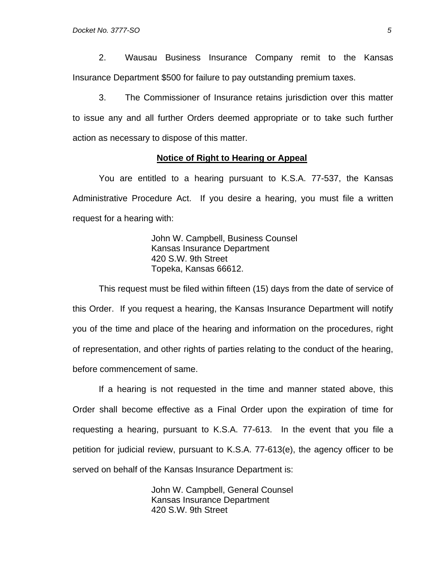2. Wausau Business Insurance Company remit to the Kansas Insurance Department \$500 for failure to pay outstanding premium taxes.

3. The Commissioner of Insurance retains jurisdiction over this matter to issue any and all further Orders deemed appropriate or to take such further action as necessary to dispose of this matter.

#### **Notice of Right to Hearing or Appeal**

You are entitled to a hearing pursuant to K.S.A. 77-537, the Kansas Administrative Procedure Act. If you desire a hearing, you must file a written request for a hearing with:

> John W. Campbell, Business Counsel Kansas Insurance Department 420 S.W. 9th Street Topeka, Kansas 66612.

This request must be filed within fifteen (15) days from the date of service of this Order. If you request a hearing, the Kansas Insurance Department will notify you of the time and place of the hearing and information on the procedures, right of representation, and other rights of parties relating to the conduct of the hearing, before commencement of same.

If a hearing is not requested in the time and manner stated above, this Order shall become effective as a Final Order upon the expiration of time for requesting a hearing, pursuant to K.S.A. 77-613. In the event that you file a petition for judicial review, pursuant to K.S.A. 77-613(e), the agency officer to be served on behalf of the Kansas Insurance Department is:

> John W. Campbell, General Counsel Kansas Insurance Department 420 S.W. 9th Street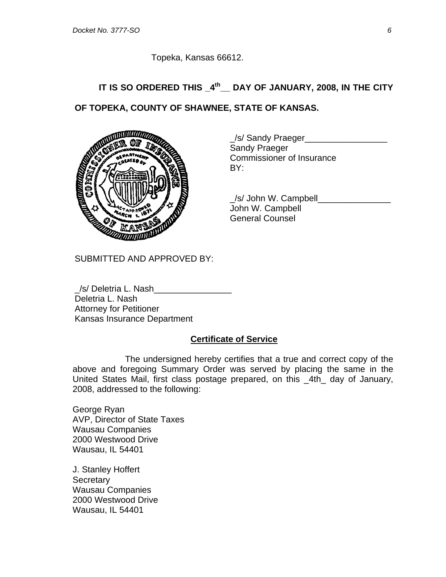Topeka, Kansas 66612.

# **IT IS SO ORDERED THIS \_4th\_\_ DAY OF JANUARY, 2008, IN THE CITY OF TOPEKA, COUNTY OF SHAWNEE, STATE OF KANSAS.**



/s/ Sandy Praeger Sandy Praeger Commissioner of Insurance

 \_/s/ John W. Campbell\_\_\_\_\_\_\_\_\_\_\_\_\_\_\_ John W. Campbell General Counsel

SUBMITTED AND APPROVED BY:

/s/ Deletria L. Nash Deletria L. Nash Attorney for Petitioner Kansas Insurance Department

#### **Certificate of Service**

 The undersigned hereby certifies that a true and correct copy of the above and foregoing Summary Order was served by placing the same in the United States Mail, first class postage prepared, on this \_4th\_ day of January, 2008, addressed to the following:

George Ryan AVP, Director of State Taxes Wausau Companies 2000 Westwood Drive Wausau, IL 54401

J. Stanley Hoffert **Secretary** Wausau Companies 2000 Westwood Drive Wausau, IL 54401